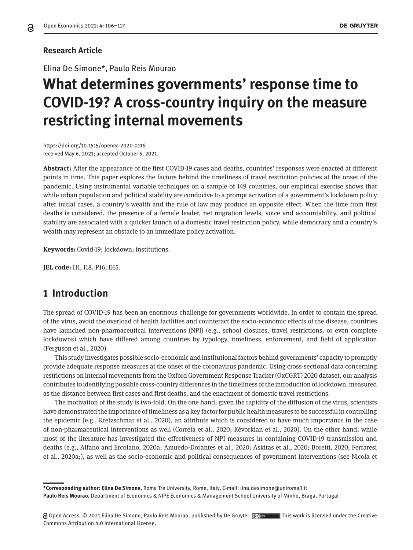#### **Research Article**

Elina De Simone\*, Paulo Reis Mourao

# **What determines governments' response time to COVID-19? A cross-country inquiry on the measure restricting internal movements**

https://doi.org/10.1515/openec-2020-0116 received May 6, 2021; accepted October 5, 2021.

**Abstract:** After the appearance of the first COVID-19 cases and deaths, countries' responses were enacted at different points in time. This paper explores the factors behind the timeliness of travel restriction policies at the onset of the pandemic. Using instrumental variable techniques on a sample of 149 countries, our empirical exercise shows that while urban population and political stability are conducive to a prompt activation of a government's lockdown policy after initial cases, a country's wealth and the rule of law may produce an opposite effect. When the time from first deaths is considered, the presence of a female leader, net migration levels, voice and accountability, and political stability are associated with a quicker launch of a domestic travel restriction policy, while democracy and a country's wealth may represent an obstacle to an immediate policy activation.

**Keywords:** Covid-19; lockdown; institutions.

**JEL code:** H1, I18, P16, E65.

#### **1 Introduction**

The spread of COVID-19 has been an enormous challenge for governments worldwide. In order to contain the spread of the virus, avoid the overload of health facilities and counteract the socio-economic effects of the disease, countries have launched non-pharmaceutical interventions (NPI) (e.g., school closures, travel restrictions, or even complete lockdowns) which have differed among countries by typology, timeliness, enforcement, and field of application (Ferguson et al., 2020).

This study investigates possible socio-economic and institutional factors behind governments' capacity to promptly provide adequate response measures at the onset of the coronavirus pandemic. Using cross-sectional data concerning restrictions on internal movements from the Oxford Government Response Tracker (OxCGRT) 2020 dataset, our analysis contributes to identifying possible cross-country differences in the timeliness of the introduction of lockdown, measured as the distance between first cases and first deaths, and the enactment of domestic travel restrictions.

The motivation of the study is two-fold. On the one hand, given the rapidity of the diffusion of the virus, scientists have demonstrated the importance of timeliness as a key factor for public health measures to be successful in controlling the epidemic (e.g., Kretzschmar et al., 2020), an attribute which is considered to have much importance in the case of non-pharmaceutical interventions as well (Correia et al., 2020; Kévorkian et al., 2020). On the other hand, while most of the literature has investigated the effectiveness of NPI measures in containing COVID-19 transmission and deaths (e.g., Alfano and Ercolano, 2020a; Amuedo-Dorantes et al., 2020; Askitas et al., 2020; Boretti, 2020; Ferraresi et al., 2020a;), as well as the socio-economic and political consequences of government interventions (see Nicola et

**\*Corresponding author: Elina De Simone,** Roma Tre University, Rome, Italy, E-mail: lina.desimone@uniroma3.it **Paulo Reis Mourao,** Department of Economics & NIPE Economics & Management School University of Minho, Braga, Portugal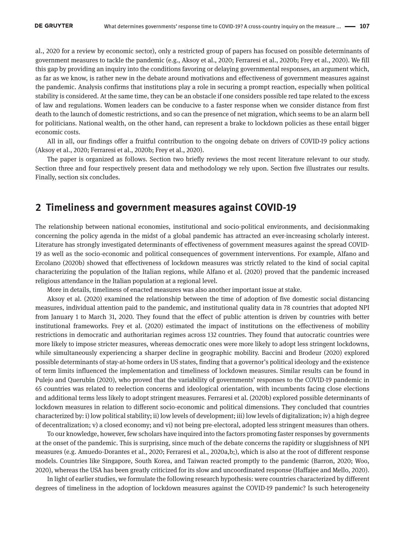al., 2020 for a review by economic sector), only a restricted group of papers has focused on possible determinants of government measures to tackle the pandemic (e.g., Aksoy et al., 2020; Ferraresi et al., 2020b; Frey et al., 2020). We fill this gap by providing an inquiry into the conditions favoring or delaying governmental responses, an argument which, as far as we know, is rather new in the debate around motivations and effectiveness of government measures against the pandemic. Analysis confirms that institutions play a role in securing a prompt reaction, especially when political stability is considered. At the same time, they can be an obstacle if one considers possible red tape related to the excess of law and regulations. Women leaders can be conducive to a faster response when we consider distance from first death to the launch of domestic restrictions, and so can the presence of net migration, which seems to be an alarm bell for politicians. National wealth, on the other hand, can represent a brake to lockdown policies as these entail bigger economic costs.

All in all, our findings offer a fruitful contribution to the ongoing debate on drivers of COVID-19 policy actions (Aksoy et al., 2020; Ferraresi et al., 2020b; Frey et al., 2020).

The paper is organized as follows. Section two briefly reviews the most recent literature relevant to our study. Section three and four respectively present data and methodology we rely upon. Section five illustrates our results. Finally, section six concludes.

#### **2 Timeliness and government measures against COVID-19**

The relationship between national economies, institutional and socio-political environments, and decisionmaking concerning the policy agenda in the midst of a global pandemic has attracted an ever-increasing scholarly interest. Literature has strongly investigated determinants of effectiveness of government measures against the spread COVID-19 as well as the socio-economic and political consequences of government interventions. For example, Alfano and Ercolano (2020b) showed that effectiveness of lockdown measures was strictly related to the kind of social capital characterizing the population of the Italian regions, while Alfano et al. (2020) proved that the pandemic increased religious attendance in the Italian population at a regional level.

More in details, timeliness of enacted measures was also another important issue at stake.

Aksoy et al. (2020) examined the relationship between the time of adoption of five domestic social distancing measures, individual attention paid to the pandemic, and institutional quality data in 78 countries that adopted NPI from January 1 to March 31, 2020. They found that the effect of public attention is driven by countries with better institutional frameworks. Frey et al. (2020) estimated the impact of institutions on the effectiveness of mobility restrictions in democratic and authoritarian regimes across 132 countries. They found that autocratic countries were more likely to impose stricter measures, whereas democratic ones were more likely to adopt less stringent lockdowns, while simultaneously experiencing a sharper decline in geographic mobility. Baccini and Brodeur (2020) explored possible determinants of stay-at-home orders in US states, finding that a governor's political ideology and the existence of term limits influenced the implementation and timeliness of lockdown measures. Similar results can be found in Pulejo and Querubín (2020), who proved that the variability of governments' responses to the COVID-19 pandemic in 65 countries was related to reelection concerns and ideological orientation, with incumbents facing close elections and additional terms less likely to adopt stringent measures. Ferraresi et al. (2020b) explored possible determinants of lockdown measures in relation to different socio-economic and political dimensions. They concluded that countries characterized by: i) low political stability; ii) low levels of development; iii) low levels of digitalization; iv) a high degree of decentralization; v) a closed economy; and vi) not being pre-electoral, adopted less stringent measures than others.

To our knowledge, however, few scholars have inquired into the factors promoting faster responses by governments at the onset of the pandemic. This is surprising, since much of the debate concerns the rapidity or sluggishness of NPI measures (e.g. Amuedo-Dorantes et al., 2020; Ferraresi et al., 2020a,b;), which is also at the root of different response models. Countries like Singapore, South Korea, and Taiwan reacted promptly to the pandemic (Barron, 2020; Woo, 2020), whereas the USA has been greatly criticized for its slow and uncoordinated response (Haffajee and Mello, 2020).

In light of earlier studies, we formulate the following research hypothesis: were countries characterized by different degrees of timeliness in the adoption of lockdown measures against the COVID-19 pandemic? Is such heterogeneity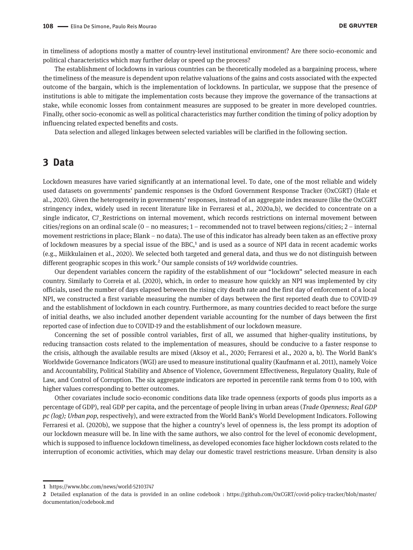in timeliness of adoptions mostly a matter of country-level institutional environment? Are there socio-economic and political characteristics which may further delay or speed up the process?

The establishment of lockdowns in various countries can be theoretically modeled as a bargaining process, where the timeliness of the measure is dependent upon relative valuations of the gains and costs associated with the expected outcome of the bargain, which is the implementation of lockdowns. In particular, we suppose that the presence of institutions is able to mitigate the implementation costs because they improve the governance of the transactions at stake, while economic losses from containment measures are supposed to be greater in more developed countries. Finally, other socio-economic as well as political characteristics may further condition the timing of policy adoption by influencing related expected benefits and costs.

Data selection and alleged linkages between selected variables will be clarified in the following section.

#### **3 Data**

Lockdown measures have varied significantly at an international level. To date, one of the most reliable and widely used datasets on governments' pandemic responses is the Oxford Government Response Tracker (OxCGRT) (Hale et al., 2020). Given the heterogeneity in governments' responses, instead of an aggregate index measure (like the OxCGRT stringency index, widely used in recent literature like in Ferraresi et al., 2020a,b), we decided to concentrate on a single indicator, C7 Restrictions on internal movement, which records restrictions on internal movement between cities/regions on an ordinal scale (0 – no measures; 1 – recommended not to travel between regions/cities; 2 – internal movement restrictions in place; Blank – no data). The use of this indicator has already been taken as an effective proxy of lockdown measures by a special issue of the BBC, $<sup>1</sup>$  and is used as a source of NPI data in recent academic works</sup> (e.g., Miikkulainen et al., 2020). We selected both targeted and general data, and thus we do not distinguish between different geographic scopes in this work.<sup>2</sup> Our sample consists of 149 worldwide countries.

Our dependent variables concern the rapidity of the establishment of our "lockdown" selected measure in each country. Similarly to Correia et al. (2020), which, in order to measure how quickly an NPI was implemented by city officials, used the number of days elapsed between the rising city death rate and the first day of enforcement of a local NPI, we constructed a first variable measuring the number of days between the first reported death due to COVID-19 and the establishment of lockdown in each country. Furthermore, as many countries decided to react before the surge of initial deaths, we also included another dependent variable accounting for the number of days between the first reported case of infection due to COVID-19 and the establishment of our lockdown measure.

Concerning the set of possible control variables, first of all, we assumed that higher-quality institutions, by reducing transaction costs related to the implementation of measures, should be conducive to a faster response to the crisis, although the available results are mixed (Aksoy et al., 2020; Ferraresi et al., 2020 a, b). The World Bank's Worldwide Governance Indicators (WGI) are used to measure institutional quality (Kaufmann et al. 2011), namely Voice and Accountability, Political Stability and Absence of Violence, Government Effectiveness, Regulatory Quality, Rule of Law, and Control of Corruption. The six aggregate indicators are reported in percentile rank terms from 0 to 100, with higher values corresponding to better outcomes.

Other covariates include socio-economic conditions data like trade openness (exports of goods plus imports as a percentage of GDP), real GDP per capita, and the percentage of people living in urban areas (*Trade Openness; Real GDP pc (log); Urban pop,* respectively), and were extracted from the World Bank's World Development Indicators. Following Ferraresi et al. (2020b), we suppose that the higher a country's level of openness is, the less prompt its adoption of our lockdown measure will be. In line with the same authors, we also control for the level of economic development, which is supposed to influence lockdown timeliness, as developed economies face higher lockdown costs related to the interruption of economic activities, which may delay our domestic travel restrictions measure. Urban density is also

**<sup>1</sup>** https://www.bbc.com/news/world-52103747

**<sup>2</sup>** Detailed explanation of the data is provided in an online codebook : https://github.com/OxCGRT/covid-policy-tracker/blob/master/ documentation/codebook.md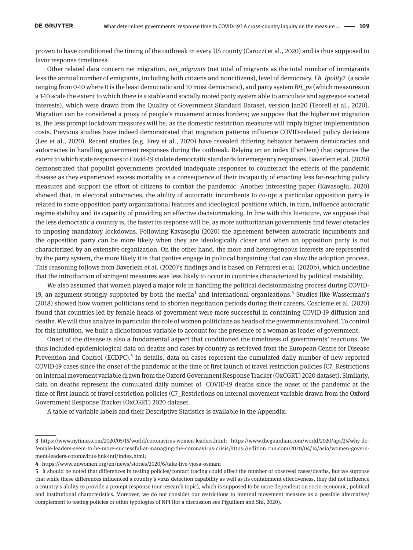proven to have conditioned the timing of the outbreak in every US county (Carozzi et al., 2020) and is thus supposed to favor response timeliness.

Other related data concern net migration, *net\_migrants* (net total of migrants as the total number of immigrants less the annual number of emigrants, including both citizens and noncitizens), level of democracy, *Fh\_Ipolity2* (a scale ranging from 0-10 where 0 is the least democratic and 10 most democratic), and party system *Bti\_ps* (which measures on a 1-10 scale the extent to which there is a stable and socially rooted party system able to articulate and aggregate societal interests), which were drawn from the Quality of Government Standard Dataset, version Jan20 (Teorell et al., 2020). Migration can be considered a proxy of people's movement across borders; we suppose that the higher net migration is, the less prompt lockdown measures will be, as the domestic restriction measures will imply higher implementation costs. Previous studies have indeed demonstrated that migration patterns influence COVID-related policy decisions (Lee et al., 2020). Recent studies (e.g. Frey et al., 2020) have revealed differing behavior between democracies and autocracies in handling government responses during the outbreak. Relying on an index (PanDem) that captures the extent to which state responses to Covid-19 violate democratic standards for emergency responses, Baverlein et al. (2020) demonstrated that populist governments provided inadequate responses to counteract the effects of the pandemic disease as they experienced excess mortality as a consequence of their incapacity of enacting less far-reaching policy measures and support the effort of citizens to combat the pandemic. Another interesting paper (Kavasoglu, 2020) showed that, in electoral autocracies, the ability of autocratic incumbents to co-opt a particular opposition party is related to some opposition party organizational features and ideological positions which, in turn, influence autocratic regime stability and its capacity of providing an effective decisionmaking. In line with this literature, we suppose that the less democratic a country is, the faster its response will be, as more authoritarian governments find fewer obstacles to imposing mandatory lockdowns. Following Kavasoglu (2020) the agreement between autocratic incumbents and the opposition party can be more likely when they are ideologically closer and when an opposition party is not characterized by an extensive organization. On the other hand, the more and heterogeneous interests are represented by the party system, the more likely it is that parties engage in political bargaining that can slow the adoption process. This reasoning follows from Baverlein et al. (2020)'s findings and is based on Ferraresi et al. (2020b), which underline that the introduction of stringent measures was less likely to occur in countries characterized by political instability.

We also assumed that women played a major role in handling the political decisionmaking process during COVID-19, an argument strongly supported by both the media<sup>3</sup> and international organizations.<sup>4</sup> Studies like Wasserman's (2018) showed how women politicians tend to shorten negotiation periods during their careers. Coscieme et al. (2020) found that countries led by female heads of government were more successful in containing COVID-19 diffusion and deaths. We will thus analyze in particular the role of women politicians as heads of the governments involved. To control for this intuition, we built a dichotomous variable to account for the presence of a woman as leader of government.

Onset of the disease is also a fundamental aspect that conditioned the timeliness of governments' reactions. We thus included epidemiological data on deaths and cases by country as retrieved from the European Centre for Disease Prevention and Control (ECDPC).<sup>5</sup> In details, data on cases represent the cumulated daily number of new reported COVID-19 cases since the onset of the pandemic at the time of first launch of travel restriction policies (C7\_Restrictions on internal movement variable drawn from the Oxford Government Response Tracker (OxCGRT) 2020 dataset). Similarly, data on deaths represent the cumulated daily number of COVID-19 deaths since the onset of the pandemic at the time of first launch of travel restriction policies (C7\_Restrictions on internal movement variable drawn from the Oxford Government Response Tracker (OxCGRT) 2020 dataset.

A table of variable labels and their Descriptive Statistics is available in the Appendix.

**<sup>3</sup>** [https://www.nytimes.com/2020/05/15/world/coronavirus-women-leaders.html;](https://www.nytimes.com/2020/05/15/world/coronavirus-women-leaders.html) [https://www.theguardian.com/world/2020/apr/25/why-do](https://www.theguardian.com/world/2020/apr/25/why-do-female-leaders-seem-to-be-more-successful-at-managing-the-coronavirus-crisis)[female-leaders-seem-to-be-more-successful-at-managing-the-coronavirus-crisis;](https://www.theguardian.com/world/2020/apr/25/why-do-female-leaders-seem-to-be-more-successful-at-managing-the-coronavirus-crisis)[https://edition.cnn.com/2020/04/14/asia/women-govern](https://edition.cnn.com/2020/04/14/asia/women-government-leaders-coronavirus-hnk-intl/index.html)[ment-leaders-coronavirus-hnk-intl/index.html](https://edition.cnn.com/2020/04/14/asia/women-government-leaders-coronavirus-hnk-intl/index.html);

**<sup>4</sup>** https://www.unwomen.org/en/news/stories/2020/6/take-five-vjosa-osmani

**<sup>5</sup>** It should be noted that differences in testing policies/contact tracing could affect the number of observed cases/deaths, but we suppose that while these differences influenced a country's virus detection capability as well as its containment effectiveness, they did not influence a country's ability to provide a prompt response (our research topic), which is supposed to be more dependent on socio-economic, political and institutional characteristics. Moreover, we do not consider our restrictions to internal movement measure as a possible alternative/ complement to testing policies or other typologies of NPI (for a discussion see Piguillem and Shi, 2020).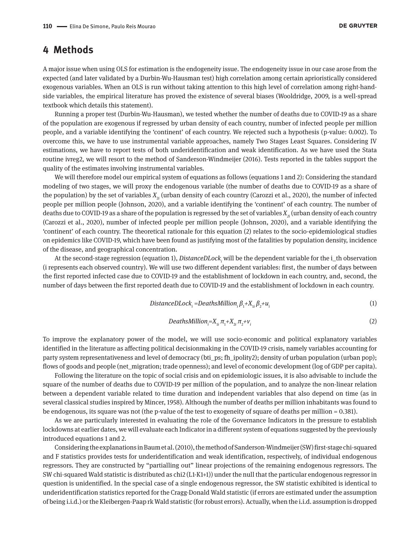#### **4 Methods**

A major issue when using OLS for estimation is the endogeneity issue. The endogeneity issue in our case arose from the expected (and later validated by a Durbin-Wu-Hausman test) high correlation among certain aprioristically considered exogenous variables. When an OLS is run without taking attention to this high level of correlation among right-handside variables, the empirical literature has proved the existence of several biases (Wooldridge, 2009, is a well-spread textbook which details this statement).

Running a proper test (Durbin-Wu-Hausman), we tested whether the number of deaths due to COVID-19 as a share of the population are exogenous if regressed by urban density of each country, number of infected people per million people, and a variable identifying the 'continent' of each country. We rejected such a hypothesis (p-value: 0.002). To overcome this, we have to use instrumental variable approaches, namely Two Stages Least Squares. Considering IV estimations, we have to report tests of both underidentification and weak identification. As we have used the Stata routine ivreg2, we will resort to the method of Sanderson-Windmeijer (2016). Tests reported in the tables support the quality of the estimates involving instrumental variables.

We will therefore model our empirical system of equations as follows (equations 1 and 2): Considering the standard modeling of two stages, we will proxy the endogenous variable (the number of deaths due to COVID-19 as a share of the population) by the set of variables  $X_{_{2i}}$  (urban density of each country (Carozzi et al., 2020), the number of infected people per million people (Johnson, 2020), and a variable identifying the 'continent' of each country. The number of deaths due to COVID-19 as a share of the population is regressed by the set of variables  $X<sub>2</sub>$  (urban density of each country (Carozzi et al., 2020), number of infected people per million people (Johnson, 2020), and a variable identifying the 'continent' of each country. The theoretical rationale for this equation (2) relates to the socio-epidemiological studies on epidemics like COVID-19, which have been found as justifying most of the fatalities by population density, incidence of the disease, and geographical concentration.

At the second-stage regression (equation 1), *DistanceDLock<sub>i</sub> will be the dependent variable for the i\_th observation* (i represents each observed country). We will use two different dependent variables: first, the number of days between the first reported infected case due to COVID-19 and the establishment of lockdown in each country, and, second, the number of days between the first reported death due to COVID-19 and the establishment of lockdown in each country.

$$
DistanceDLocki = DeathsMillioni \beta1+X1i \beta2+ui
$$
\n(1)

$$
DeathsMillion_i = X_{1i} \pi_1 + X_{2i} \pi_2 + v_i
$$
 (2)

To improve the explanatory power of the model, we will use socio-economic and political explanatory variables identified in the literature as affecting political decisionmaking in the COVID-19 crisis, namely variables accounting for party system representativeness and level of democracy (bti\_ps; fh\_ipolity2); density of urban population (urban pop); flows of goods and people (net\_migration; trade openness); and level of economic development (log of GDP per capita).

Following the literature on the topic of social crisis and on epidemiologic issues, it is also advisable to include the square of the number of deaths due to COVID-19 per million of the population, and to analyze the non-linear relation between a dependent variable related to time duration and independent variables that also depend on time (as in several classical studies inspired by Mincer, 1958). Although the number of deaths per million inhabitants was found to be endogenous, its square was not (the p-value of the test to exogeneity of square of deaths per million = 0.381).

As we are particularly interested in evaluating the role of the Governance Indicators in the pressure to establish lockdowns at earlier dates, we will evaluate each Indicator in a different system of equations suggested by the previously introduced equations 1 and 2.

Considering the explanations in Baum et al. (2010), the method of Sanderson-Windmeijer (SW) first-stage chi-squared and F statistics provides tests for underidentification and weak identification, respectively, of individual endogenous regressors. They are constructed by "partialling out" linear projections of the remaining endogenous regressors. The SW chi-squared Wald statistic is distributed as chi2 (L1-K1+1)) under the null that the particular endogenous regressor in question is unidentified. In the special case of a single endogenous regressor, the SW statistic exhibited is identical to underidentification statistics reported for the Cragg-Donald Wald statistic (if errors are estimated under the assumption of being i.i.d.) or the Kleibergen-Paap rk Wald statistic (for robust errors). Actually, when the i.i.d. assumption is dropped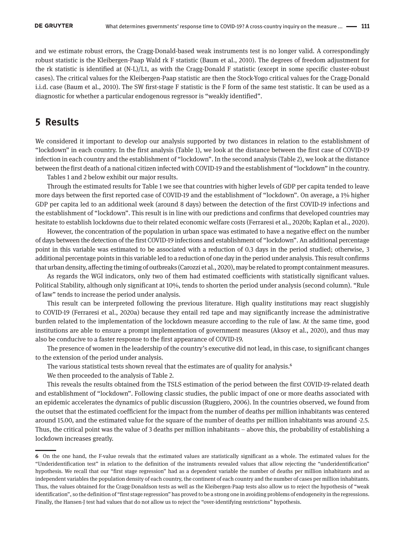and we estimate robust errors, the Cragg-Donald-based weak instruments test is no longer valid. A correspondingly robust statistic is the Kleibergen-Paap Wald rk F statistic (Baum et al., 2010). The degrees of freedom adjustment for the rk statistic is identified at (N-L)/L1, as with the Cragg-Donald F statistic (except in some specific cluster-robust cases). The critical values for the Kleibergen-Paap statistic are then the Stock-Yogo critical values for the Cragg-Donald i.i.d. case (Baum et al., 2010). The SW first-stage F statistic is the F form of the same test statistic. It can be used as a diagnostic for whether a particular endogenous regressor is "weakly identified".

#### **5 Results**

We considered it important to develop our analysis supported by two distances in relation to the establishment of "lockdown" in each country. In the first analysis (Table 1), we look at the distance between the first case of COVID-19 infection in each country and the establishment of "lockdown". In the second analysis (Table 2), we look at the distance between the first death of a national citizen infected with COVID-19 and the establishment of "lockdown" in the country.

Tables 1 and 2 below exhibit our major results.

Through the estimated results for Table 1 we see that countries with higher levels of GDP per capita tended to leave more days between the first reported case of COVID-19 and the establishment of "lockdown". On average, a 1% higher GDP per capita led to an additional week (around 8 days) between the detection of the first COVID-19 infections and the establishment of "lockdown". This result is in line with our predictions and confirms that developed countries may hesitate to establish lockdowns due to their related economic welfare costs (Ferraresi et al., 2020b; Kaplan et al., 2020).

However, the concentration of the population in urban space was estimated to have a negative effect on the number of days between the detection of the first COVID-19 infections and establishment of "lockdown". An additional percentage point in this variable was estimated to be associated with a reduction of 0.3 days in the period studied; otherwise, 3 additional percentage points in this variable led to a reduction of one day in the period under analysis. This result confirms that urban density, affecting the timing of outbreaks (Carozzi et al., 2020), may be related to prompt containment measures.

As regards the WGI indicators, only two of them had estimated coefficients with statistically significant values. Political Stability, although only significant at 10%, tends to shorten the period under analysis (second column). "Rule of law" tends to increase the period under analysis.

This result can be interpreted following the previous literature. High quality institutions may react sluggishly to COVID-19 (Ferraresi et al., 2020a) because they entail red tape and may significantly increase the administrative burden related to the implementation of the lockdown measure according to the rule of law. At the same time, good institutions are able to ensure a prompt implementation of government measures (Aksoy et al., 2020), and thus may also be conducive to a faster response to the first appearance of COVID-19.

The presence of women in the leadership of the country's executive did not lead, in this case, to significant changes to the extension of the period under analysis.

The various statistical tests shown reveal that the estimates are of quality for analysis.6

We then proceeded to the analysis of Table 2.

This reveals the results obtained from the TSLS estimation of the period between the first COVID-19-related death and establishment of "lockdown". Following classic studies, the public impact of one or more deaths associated with an epidemic accelerates the dynamics of public discussion (Ruggiero, 2006). In the countries observed, we found from the outset that the estimated coefficient for the impact from the number of deaths per million inhabitants was centered around 15.00, and the estimated value for the square of the number of deaths per million inhabitants was around -2.5. Thus, the critical point was the value of 3 deaths per million inhabitants – above this, the probability of establishing a lockdown increases greatly.

**<sup>6</sup>** On the one hand, the F-value reveals that the estimated values are statistically significant as a whole. The estimated values for the "Underidentification test" in relation to the definition of the instruments revealed values that allow rejecting the "underidentification" hypothesis. We recall that our "first stage regression" had as a dependent variable the number of deaths per million inhabitants and as independent variables the population density of each country, the continent of each country and the number of cases per million inhabitants. Thus, the values obtained for the Cragg-Donaldson tests as well as the Kleibergen-Paap tests also allow us to reject the hypothesis of "weak identification", so the definition of "first stage regression" has proved to be a strong one in avoiding problems of endogeneity in the regressions. Finally, the Hansen-J test had values that do not allow us to reject the "over-identifying restrictions" hypothesis.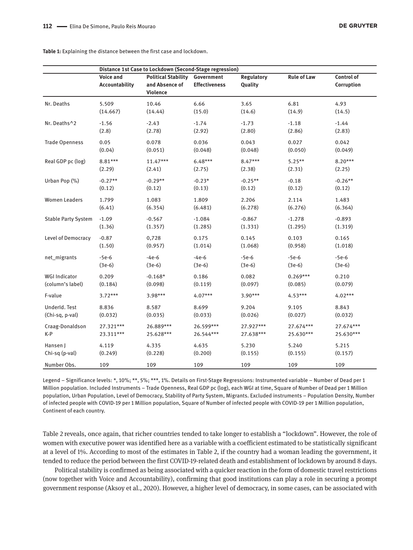|                            | Distance 1st Case to Lockdown (Second-Stage regression) |                                                          |                                    |                       |                    |                          |  |
|----------------------------|---------------------------------------------------------|----------------------------------------------------------|------------------------------------|-----------------------|--------------------|--------------------------|--|
|                            | <b>Voice and</b><br>Accountability                      | <b>Political Stability</b><br>and Absence of<br>Violence | Government<br><b>Effectiveness</b> | Regulatory<br>Quality | <b>Rule of Law</b> | Control of<br>Corruption |  |
| Nr. Deaths                 | 5.509                                                   | 10.46                                                    | 6.66                               | 3.65                  | 6.81               | 4.93                     |  |
|                            | (14.667)                                                | (14.44)                                                  | (15.0)                             | (14.6)                | (14.9)             | (14.5)                   |  |
| Nr. Deaths^2               | $-1.56$                                                 | $-2.43$                                                  | $-1.74$                            | $-1.73$               | $-1.18$            | $-1.44$                  |  |
|                            | (2.8)                                                   | (2.78)                                                   | (2.92)                             | (2.80)                | (2.86)             | (2.83)                   |  |
| <b>Trade Openness</b>      | 0.05                                                    | 0.078                                                    | 0.036                              | 0.043                 | 0.027              | 0.042                    |  |
|                            | (0.04)                                                  | (0.051)                                                  | (0.048)                            | (0.048)               | (0.050)            | (0.049)                  |  |
| Real GDP pc (log)          | 8.81***                                                 | $11.47***$                                               | $6.48***$                          | $8.47***$             | $5.25**$           | $8.20***$                |  |
|                            | (2.29)                                                  | (2.41)                                                   | (2.75)                             | (2.38)                | (2.31)             | (2.25)                   |  |
| Urban Pop (%)              | $-0.27**$                                               | $-0.29**$                                                | $-0.23*$                           | $-0.25**$             | $-0.18$            | $-0.26**$                |  |
|                            | (0.12)                                                  | (0.12)                                                   | (0.13)                             | (0.12)                | (0.12)             | (0.12)                   |  |
| <b>Women Leaders</b>       | 1.799                                                   | 1.083                                                    | 1.809                              | 2.206                 | 2.114              | 1.483                    |  |
|                            | (6.41)                                                  | (6.354)                                                  | (6.481)                            | (6.278)               | (6.276)            | (6.364)                  |  |
| <b>Stable Party System</b> | $-1.09$                                                 | $-0.567$                                                 | $-1.084$                           | $-0.867$              | $-1.278$           | $-0.893$                 |  |
|                            | (1.36)                                                  | (1.357)                                                  | (1.285)                            | (1.331)               | (1.295)            | (1.319)                  |  |
| Level of Democracy         | $-0.87$                                                 | 0,728                                                    | 0.175                              | 0.145                 | 0.103              | 0.165                    |  |
|                            | (1.50)                                                  | (0.957)                                                  | (1.014)                            | (1.068)               | (0.958)            | (1.018)                  |  |
| net_migrants               | $-5e-6$                                                 | $-4e-6$                                                  | $-4e-6$                            | $-5e-6$               | $-5e-6$            | $-5e-6$                  |  |
|                            | $(3e-6)$                                                | $(3e-6)$                                                 | $(3e-6)$                           | $(3e-6)$              | $(3e-6)$           | $(3e-6)$                 |  |
| <b>WGI Indicator</b>       | 0.209                                                   | $-0.168*$                                                | 0.186                              | 0.082                 | $0.269***$         | 0.210                    |  |
| (column's label)           | (0.184)                                                 | (0.098)                                                  | (0.119)                            | (0.097)               | (0.085)            | (0.079)                  |  |
| F-value                    | $3.72***$                                               | $3.98***$                                                | $4.07***$                          | $3.90***$             | $4.53***$          | $4.02***$                |  |
| UnderId. Test              | 8.836                                                   | 8.587                                                    | 8.699                              | 9.204                 | 9.105              | 8.843                    |  |
| (Chi-sq, p-val)            | (0.032)                                                 | (0.035)                                                  | (0.033)                            | (0.026)               | (0.027)            | (0.032)                  |  |
| Craag-Donaldson            | 27.321***                                               | 26.889***                                                | 26.599***                          | 27.927***             | 27.674***          | 27.674***                |  |
| K-P                        | 23.311***                                               | 25.628***                                                | 26.544***                          | 27.638***             | 25.630***          | 25.630***                |  |
| Hansen J                   | 4.119                                                   | 4.335                                                    | 4.635                              | 5.230                 | 5.240              | 5.215                    |  |
| Chi-sq (p-val)             | (0.249)                                                 | (0.228)                                                  | (0.200)                            | (0.155)               | (0.155)            | (0.157)                  |  |
| Number Obs.                | 109                                                     | 109                                                      | 109                                | 109                   | 109                | 109                      |  |

**Table 1:** Explaining the distance between the first case and lockdown.

Legend – Significance levels: \*, 10%; \*\*, 5%; \*\*\*, 1%. Details on First-Stage Regressions: Instrumented variable – Number of Dead per 1 Million population. Included Instruments – Trade Openness, Real GDP pc (log), each WGI at time, Square of Number of Dead per 1 Million population, Urban Population, Level of Democracy, Stability of Party System, Migrants. Excluded instruments – Population Density, Number of infected people with COVID-19 per 1 Million population, Square of Number of infected people with COVID-19 per 1 Million population, Continent of each country.

Table 2 reveals, once again, that richer countries tended to take longer to establish a "lockdown". However, the role of women with executive power was identified here as a variable with a coefficient estimated to be statistically significant at a level of 1%. According to most of the estimates in Table 2, if the country had a woman leading the government, it tended to reduce the period between the first COVID-19-related death and establishment of lockdown by around 8 days.

Political stability is confirmed as being associated with a quicker reaction in the form of domestic travel restrictions (now together with Voice and Accountability), confirming that good institutions can play a role in securing a prompt government response (Aksoy et al., 2020). However, a higher level of democracy, in some cases, can be associated with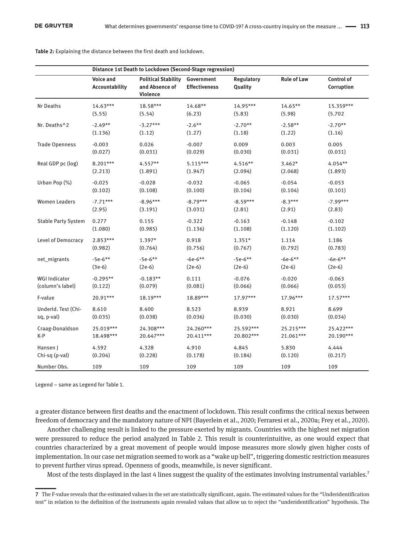|                            | Distance 1st Death to Lockdown (Second-Stage regression) |                                                          |                                    |                              |                    |                          |  |  |
|----------------------------|----------------------------------------------------------|----------------------------------------------------------|------------------------------------|------------------------------|--------------------|--------------------------|--|--|
|                            | <b>Voice and</b><br>Accountability                       | <b>Political Stability</b><br>and Absence of<br>Violence | Government<br><b>Effectiveness</b> | <b>Regulatory</b><br>Quality | <b>Rule of Law</b> | Control of<br>Corruption |  |  |
| Nr Deaths                  | $14.63***$                                               | 18.58***                                                 | 14.68**                            | 14.95***                     | 14.65**            | 15.359***                |  |  |
|                            | (5.55)                                                   | (5.54)                                                   | (6.23)                             | (5.83)                       | (5.98)             | (5.702)                  |  |  |
| Nr. Deaths^2               | $-2.49**$                                                | $-3.27***$                                               | $-2.6**$                           | $-2.70**$                    | $-2.58**$          | $-2.70**$                |  |  |
|                            | (1.136)                                                  | (1.12)                                                   | (1.27)                             | (1.18)                       | (1.22)             | (1.16)                   |  |  |
| <b>Trade Openness</b>      | $-0.003$                                                 | 0.026                                                    | $-0.007$                           | 0.009                        | 0.003              | 0.005                    |  |  |
|                            | (0.027)                                                  | (0.031)                                                  | (0.029)                            | (0.030)                      | (0.031)            | (0.031)                  |  |  |
| Real GDP pc (log)          | 8.201***                                                 | $4.557**$                                                | $5.115***$                         | 4.516**                      | $3.462*$           | 4.054**                  |  |  |
|                            | (2.213)                                                  | (1.891)                                                  | (1.947)                            | (2.094)                      | (2.068)            | (1.893)                  |  |  |
| Urban Pop (%)              | $-0.025$                                                 | $-0.028$                                                 | $-0.032$                           | $-0.065$                     | $-0.054$           | $-0.053$                 |  |  |
|                            | (0.102)                                                  | (0.108)                                                  | (0.100)                            | (0.104)                      | (0.104)            | (0.101)                  |  |  |
| <b>Women Leaders</b>       | $-7.71***$                                               | $-8.96***$                                               | $-8.79***$                         | $-8.59***$                   | $-8.3***$          | $-7.99***$               |  |  |
|                            | (2.95)                                                   | (3.191)                                                  | (3.031)                            | (2.81)                       | (2.91)             | (2.83)                   |  |  |
| <b>Stable Party System</b> | 0.277                                                    | 0.155                                                    | $-0.322$                           | $-0.163$                     | $-0.148$           | $-0.102$                 |  |  |
|                            | (1.080)                                                  | (0.985)                                                  | (1.136)                            | (1.108)                      | (1.120)            | (1.102)                  |  |  |
| Level of Democracy         | 2.853***                                                 | $1.397*$                                                 | 0.918                              | $1.351*$                     | 1.114              | 1.186                    |  |  |
|                            | (0.982)                                                  | (0.764)                                                  | (0.756)                            | (0.767)                      | (0.792)            | (0.783)                  |  |  |
| net_migrants               | $-5e-6**$                                                | $-5e-6**$                                                | $-6e-6**$                          | $-5e-6**$                    | $-6e-6**$          | $-6e-6**$                |  |  |
|                            | $(3e-6)$                                                 | $(2e-6)$                                                 | $(2e-6)$                           | $(2e-6)$                     | $(2e-6)$           | $(2e-6)$                 |  |  |
| <b>WGI Indicator</b>       | $-0.295**$                                               | $-0.183**$                                               | 0.111                              | $-0.076$                     | $-0.020$           | $-0.063$                 |  |  |
| (column's label)           | (0.122)                                                  | (0.079)                                                  | (0.081)                            | (0.066)                      | (0.066)            | (0.053)                  |  |  |
| F-value                    | 20.91***                                                 | 18.19***                                                 | 18.89***                           | $17.97***$                   | 17.96***           | $17.57***$               |  |  |
| UnderId. Test (Chi-        | 8.610                                                    | 8.400                                                    | 8.523                              | 8.939                        | 8.921              | 8.699                    |  |  |
| sq, p-val)                 | (0.035)                                                  | (0.038)                                                  | (0.036)                            | (0.030)                      | (0.030)            | (0.034)                  |  |  |
| Craag-Donaldson            | 25.019***                                                | 24.308***                                                | 24.260***                          | 25.592***                    | 25.215***          | 25.422***                |  |  |
| K-P                        | 18.498***                                                | 20.647***                                                | 20.411***                          | 20.802***                    | 21.061***          | 20.190***                |  |  |
| Hansen J                   | 4.592                                                    | 4.328                                                    | 4.910                              | 4.845                        | 5.830              | 4.444                    |  |  |
| Chi-sq (p-val)             | (0.204)                                                  | (0.228)                                                  | (0.178)                            | (0.184)                      | (0.120)            | (0.217)                  |  |  |
| Number Obs.                | 109                                                      | 109                                                      | 109                                | 109                          | 109                | 109                      |  |  |

**Table 2:** Explaining the distance between the first death and lockdown.

Legend – same as Legend for Table 1.

a greater distance between first deaths and the enactment of lockdown. This result confirms the critical nexus between freedom of democracy and the mandatory nature of NPI (Bayerlein et al., 2020; Ferraresi et al., 2020a; Frey et al., 2020).

Another challenging result is linked to the pressure exerted by migrants. Countries with the highest net migration were pressured to reduce the period analyzed in Table 2. This result is counterintuitive, as one would expect that countries characterized by a great movement of people would impose measures more slowly given higher costs of implementation. In our case net migration seemed to work as a "wake up bell", triggering domestic restriction measures to prevent further virus spread. Openness of goods, meanwhile, is never significant.

Most of the tests displayed in the last 4 lines suggest the quality of the estimates involving instrumental variables.<sup>7</sup>

**<sup>7</sup>** The F-value reveals that the estimated values in the set are statistically significant, again. The estimated values for the "Underidentification test" in relation to the definition of the instruments again revealed values that allow us to reject the "underidentification" hypothesis. The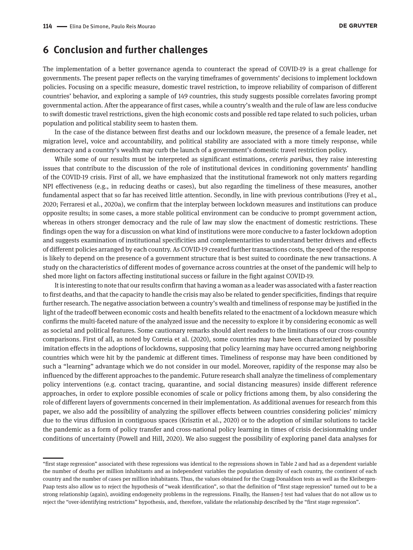#### **6 Conclusion and further challenges**

The implementation of a better governance agenda to counteract the spread of COVID-19 is a great challenge for governments. The present paper reflects on the varying timeframes of governments' decisions to implement lockdown policies. Focusing on a specific measure, domestic travel restriction, to improve reliability of comparison of different countries' behavior, and exploring a sample of 149 countries, this study suggests possible correlates favoring prompt governmental action. After the appearance of first cases, while a country's wealth and the rule of law are less conducive to swift domestic travel restrictions, given the high economic costs and possible red tape related to such policies, urban population and political stability seem to hasten them.

In the case of the distance between first deaths and our lockdown measure, the presence of a female leader, net migration level, voice and accountability, and political stability are associated with a more timely response, while democracy and a country's wealth may curb the launch of a government's domestic travel restriction policy.

While some of our results must be interpreted as significant estimations, *ceteris paribus*, they raise interesting issues that contribute to the discussion of the role of institutional devices in conditioning governments' handling of the COVID-19 crisis. First of all, we have emphasized that the institutional framework not only matters regarding NPI effectiveness (e.g., in reducing deaths or cases), but also regarding the timeliness of these measures, another fundamental aspect that so far has received little attention. Secondly, in line with previous contributions (Frey et al., 2020; Ferraresi et al., 2020a), we confirm that the interplay between lockdown measures and institutions can produce opposite results; in some cases, a more stable political environment can be conducive to prompt government action, whereas in others stronger democracy and the rule of law may slow the enactment of domestic restrictions. These findings open the way for a discussion on what kind of institutions were more conducive to a faster lockdown adoption and suggests examination of institutional specificities and complementarities to understand better drivers and effects of different policies arranged by each country. As COVID-19 created further transactions costs, the speed of the response is likely to depend on the presence of a government structure that is best suited to coordinate the new transactions. A study on the characteristics of different modes of governance across countries at the onset of the pandemic will help to shed more light on factors affecting institutional success or failure in the fight against COVID-19.

It is interesting to note that our results confirm that having a woman as a leader was associated with a faster reaction to first deaths, and that the capacity to handle the crisis may also be related to gender specificities, findings that require further research. The negative association between a country's wealth and timeliness of response may be justified in the light of the tradeoff between economic costs and health benefits related to the enactment of a lockdown measure which confirms the multi-faceted nature of the analyzed issue and the necessity to explore it by considering economic as well as societal and political features. Some cautionary remarks should alert readers to the limitations of our cross-country comparisons. First of all, as noted by Correia et al. (2020), some countries may have been characterized by possible imitation effects in the adoptions of lockdowns, supposing that policy learning may have occurred among neighboring countries which were hit by the pandemic at different times. Timeliness of response may have been conditioned by such a "learning" advantage which we do not consider in our model. Moreover, rapidity of the response may also be influenced by the different approaches to the pandemic. Future research shall analyze the timeliness of complementary policy interventions (e.g. contact tracing, quarantine, and social distancing measures) inside different reference approaches, in order to explore possible economies of scale or policy frictions among them, by also considering the role of different layers of governments concerned in their implementation. As additional avenues for research from this paper, we also add the possibility of analyzing the spillover effects between countries considering policies' mimicry due to the virus diffusion in contiguous spaces (Krisztin et al., 2020) or to the adoption of similar solutions to tackle the pandemic as a form of policy transfer and cross-national policy learning in times of crisis decisionmaking under conditions of uncertainty (Powell and Hill, 2020). We also suggest the possibility of exploring panel data analyses for

<sup>&</sup>quot;first stage regression" associated with these regressions was identical to the regressions shown in Table 2 and had as a dependent variable the number of deaths per million inhabitants and as independent variables the population density of each country, the continent of each country and the number of cases per million inhabitants. Thus, the values obtained for the Cragg-Donaldson tests as well as the Kleibergen-Paap tests also allow us to reject the hypothesis of "weak identification", so that the definition of "first stage regression" turned out to be a strong relationship (again), avoiding endogeneity problems in the regressions. Finally, the Hansen-J test had values that do not allow us to reject the "over-identifying restrictions" hypothesis, and, therefore, validate the relationship described by the "first stage regression".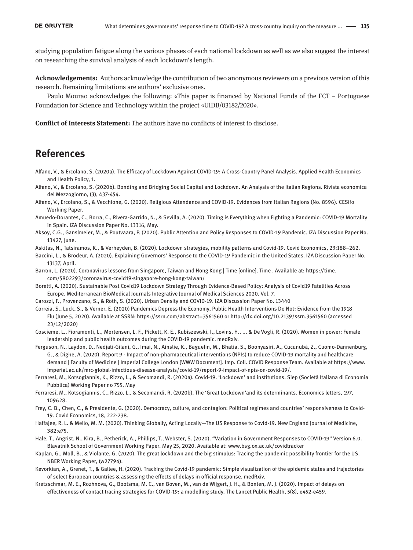studying population fatigue along the various phases of each national lockdown as well as we also suggest the interest on researching the survival analysis of each lockdown's length.

**Acknowledgements:** Authors acknowledge the contribution of two anonymous reviewers on a previous version of this research. Remaining limitations are authors' exclusive ones.

Paulo Mourao acknowledges the following: «This paper is financed by National Funds of the FCT – Portuguese Foundation for Science and Technology within the project «UIDB/03182/2020».

**Conflict of Interests Statement:** The authors have no conflicts of interest to disclose.

### **References**

- Alfano, V., & Ercolano, S. (2020a). The Efficacy of Lockdown Against COVID-19: A Cross-Country Panel Analysis. Applied Health Economics and Health Policy, 1.
- Alfano, V., & Ercolano, S. (2020b). Bonding and Bridging Social Capital and Lockdown. An Analysis of the Italian Regions. Rivista economica del Mezzogiorno, (3), 437-454.
- Alfano, V., Ercolano, S., & Vecchione, G. (2020). Religious Attendance and COVID-19. Evidences from Italian Regions (No. 8596). CESifo Working Paper.
- Amuedo-Dorantes, C., Borra, C., Rivera-Garrido, N., & Sevilla, A. (2020). Timing is Everything when Fighting a Pandemic: COVID-19 Mortality in Spain. IZA Discussion Paper No. 13316, May.
- Aksoy, C.G., Ganslmeier, M., & Poutvaara, P. (2020). Public Attention and Policy Responses to COVID-19 Pandemic. IZA Discussion Paper No. 13427, June.
- Askitas, N., Tatsiramos, K., & Verheyden, B. (2020). Lockdown strategies, mobility patterns and Covid-19. Covid Economics, 23:188–262.
- Baccini, L., & Brodeur, A. (2020). Explaining Governors' Response to the COVID-19 Pandemic in the United States. IZA Discussion Paper No. 13137, April.
- Barron, L. (2020). Coronavirus lessons from Singapore, Taiwan and Hong Kong | Time [online]. Time . Available at: https://time. com/5802293/coronavirus-covid19-singapore-hong-kong-taiwan/
- Boretti, A. (2020). Sustainable Post Covid19 Lockdown Strategy Through Evidence-Based Policy: Analysis of Covid19 Fatalities Across Europe. Mediterranean BioMedical Journals Integrative Journal of Medical Sciences 2020, Vol. 7.
- Carozzi, F., Provenzano, S., & Roth, S. (2020). Urban Density and COVID-19. IZA Discussion Paper No. 13440
- Correia, S., Luck, S., & Verner, E. (2020) Pandemics Depress the Economy, Public Health Interventions Do Not: Evidence from the 1918 Flu (June 5, 2020). Available at SSRN: https://ssrn.com/abstract=3561560 or <http://dx.doi.org/10.2139/ssrn.3561560>(accessed 23/12/2020)
- Coscieme, L., Fioramonti, L., Mortensen, L. F., Pickett, K. E., Kubiszewski, I., Lovins, H., ... & De Vogli, R. (2020). Women in power: Female leadership and public health outcomes during the COVID-19 pandemic. medRxiv.
- Ferguson, N., Laydon, D., Nedjati-Gilani, G., Imai, N., Ainslie, K., Baguelin, M., Bhatia, S., Boonyasiri, A., Cucunubá, Z., Cuomo-Dannenburg, G., & Dighe, A. (2020). Report 9 - Impact of non-pharmaceutical interventions (NPIs) to reduce COVID-19 mortality and healthcare demand | Faculty of Medicine | Imperial College London [WWW Document]. Imp. Coll. COVID Response Team. Available at https://www. imperial.ac.uk/mrc-global-infectious-disease-analysis/covid-19/report-9-impact-of-npis-on-covid-19/.
- Ferraresi, M., Kotsogiannis, K., Rizzo, L., & Secomandi, R. (2020a). Covid-19. 'Lockdown' and institutions. Siep (Società Italiana di Economia Pubblica) Working Paper no 755, May
- Ferraresi, M., Kotsogiannis, C., Rizzo, L., & Secomandi, R. (2020b). The 'Great Lockdown'and its determinants. Economics letters, 197, 109628.
- Frey, C. B., Chen, C., & Presidente, G. (2020). Democracy, culture, and contagion: Political regimes and countries' responsiveness to Covid-19. Covid Economics, 18, 222-238.
- Haffajee, R. L. & Mello, M. M. (2020). Thinking Globally, Acting Locally—The US Response to Covid-19. New England Journal of Medicine, 382:e75.
- Hale, T., Angrist, N., Kira, B., Petherick, A., Phillips, T., Webster, S. (2020). "Variation in Government Responses to COVID-19" Version 6.0. Blavatnik School of Government Working Paper. May 25, 2020. Available at: [www.bsg.ox.ac.uk/covidtracker](http://www.bsg.ox.ac.uk/covidtracker)
- Kaplan, G., Moll, B., & Violante, G. (2020). The great lockdown and the big stimulus: Tracing the pandemic possibility frontier for the US. NBER Working Paper, (w27794).
- Kevorkian, A., Grenet, T., & Gallee, H. (2020). Tracking the Covid-19 pandemic: Simple visualization of the epidemic states and trajectories of select European countries & assessing the effects of delays in official response. medRxiv.
- Kretzschmar, M. E., Rozhnova, G., Bootsma, M. C., van Boven, M., van de Wijgert, J. H., & Bonten, M. J. (2020). Impact of delays on effectiveness of contact tracing strategies for COVID-19: a modelling study. The Lancet Public Health, 5(8), e452-e459.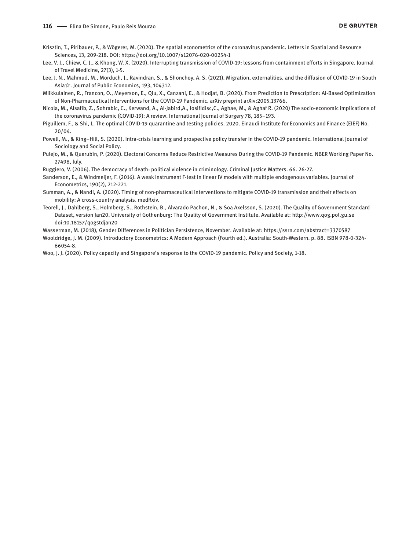- Krisztin, T., Piribauer, P., & Wögerer, M. (2020). The spatial econometrics of the coronavirus pandemic. Letters in Spatial and Resource Sciences, 13, 209-218. DOI: https://doi.org/10.1007/s12076-020-00254-1
- Lee, V. J., Chiew, C. J., & Khong, W. X. (2020). Interrupting transmission of COVID-19: lessons from containment efforts in Singapore. Journal of Travel Medicine, 27(3), 1-5.
- Lee, J. N., Mahmud, M., Morduch, J., Ravindran, S., & Shonchoy, A. S. (2021). Migration, externalities, and the diffusion of COVID-19 in South Asia☆. Journal of Public Economics, 193, 104312.
- Miikkulainen, R., Francon, O., Meyerson, E., Qiu, X., Canzani, E., & Hodjat, B. (2020). From Prediction to Prescription: AI-Based Optimization of Non-Pharmaceutical Interventions for the COVID-19 Pandemic. arXiv preprint arXiv:2005.13766.
- Nicola, M., Alsafib, Z., Sohrabic, C., Kerwand, A., Al-Jabird,A., Iosifidisc,C., Aghae, M., & Aghaf R. (2020) The socio-economic implications of the coronavirus pandemic (COVID-19): A review. International Journal of Surgery 78, 185–193.
- Piguillem, F., & Shi, L. The optimal COVID-19 quarantine and testing policies. 2020. Einaudi Institute for Economics and Finance (EIEF) No. 20/04.
- Powell, M., & King–Hill, S. (2020). Intra-crisis learning and prospective policy transfer in the COVID-19 pandemic. International Journal of Sociology and Social Policy.
- Pulejo, M., & Querubín, P. (2020). Electoral Concerns Reduce Restrictive Measures During the COVID-19 Pandemic. NBER Working Paper No. 27498, July.

Ruggiero, V. (2006). The democracy of death: political violence in criminology. Criminal Justice Matters. 66. 26-27.

- Sanderson, E., & Windmeijer, F. (2016). A weak instrument F-test in linear IV models with multiple endogenous variables. Journal of Econometrics, 190(2), 212-221.
- Summan, A., & Nandi, A. (2020). Timing of non-pharmaceutical interventions to mitigate COVID-19 transmission and their effects on mobility: A cross-country analysis. medRxiv.
- Teorell, J., Dahlberg, S., Holmberg, S., Rothstein, B., Alvarado Pachon, N., & Soa Axelsson, S. (2020). The Quality of Government Standard Dataset, version Jan20. University of Gothenburg: The Quality of Government Institute. Available at: http://www.qog.pol.gu.se doi:10.18157/qogstdjan20
- Wasserman, M. (2018), Gender Differences in Politician Persistence, November. Available at: <https://ssrn.com/abstract=3370587>
- Wooldridge, J. M. (2009). Introductory Econometrics: A Modern Approach (Fourth ed.). Australia: South-Western. p. 88. ISBN 978-0-324- 66054-8.
- Woo, J. J. (2020). Policy capacity and Singapore's response to the COVID-19 pandemic. Policy and Society, 1-18.